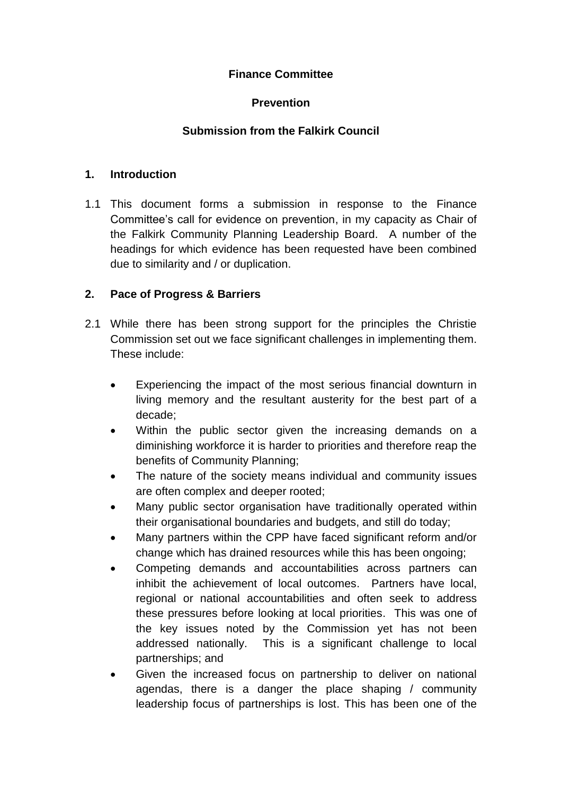## **Finance Committee**

# **Prevention**

# **Submission from the Falkirk Council**

### **1. Introduction**

1.1 This document forms a submission in response to the Finance Committee's call for evidence on prevention, in my capacity as Chair of the Falkirk Community Planning Leadership Board. A number of the headings for which evidence has been requested have been combined due to similarity and / or duplication.

## **2. Pace of Progress & Barriers**

- 2.1 While there has been strong support for the principles the Christie Commission set out we face significant challenges in implementing them. These include:
	- Experiencing the impact of the most serious financial downturn in living memory and the resultant austerity for the best part of a decade;
	- Within the public sector given the increasing demands on a diminishing workforce it is harder to priorities and therefore reap the benefits of Community Planning;
	- The nature of the society means individual and community issues are often complex and deeper rooted;
	- Many public sector organisation have traditionally operated within their organisational boundaries and budgets, and still do today;
	- Many partners within the CPP have faced significant reform and/or change which has drained resources while this has been ongoing;
	- Competing demands and accountabilities across partners can inhibit the achievement of local outcomes. Partners have local, regional or national accountabilities and often seek to address these pressures before looking at local priorities. This was one of the key issues noted by the Commission yet has not been addressed nationally. This is a significant challenge to local partnerships; and
	- Given the increased focus on partnership to deliver on national agendas, there is a danger the place shaping / community leadership focus of partnerships is lost. This has been one of the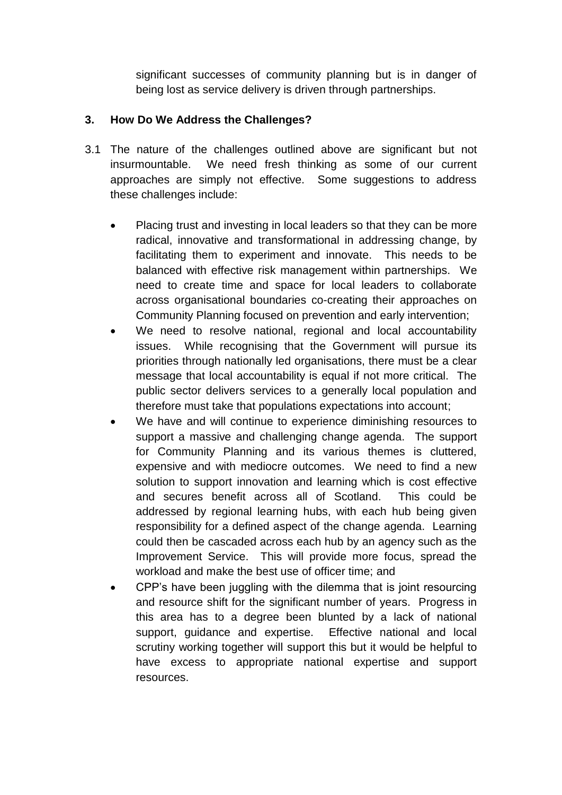significant successes of community planning but is in danger of being lost as service delivery is driven through partnerships.

## **3. How Do We Address the Challenges?**

- 3.1 The nature of the challenges outlined above are significant but not insurmountable. We need fresh thinking as some of our current approaches are simply not effective. Some suggestions to address these challenges include:
	- Placing trust and investing in local leaders so that they can be more radical, innovative and transformational in addressing change, by facilitating them to experiment and innovate. This needs to be balanced with effective risk management within partnerships. We need to create time and space for local leaders to collaborate across organisational boundaries co-creating their approaches on Community Planning focused on prevention and early intervention;
	- We need to resolve national, regional and local accountability issues. While recognising that the Government will pursue its priorities through nationally led organisations, there must be a clear message that local accountability is equal if not more critical. The public sector delivers services to a generally local population and therefore must take that populations expectations into account;
	- We have and will continue to experience diminishing resources to support a massive and challenging change agenda. The support for Community Planning and its various themes is cluttered, expensive and with mediocre outcomes. We need to find a new solution to support innovation and learning which is cost effective and secures benefit across all of Scotland. This could be addressed by regional learning hubs, with each hub being given responsibility for a defined aspect of the change agenda. Learning could then be cascaded across each hub by an agency such as the Improvement Service. This will provide more focus, spread the workload and make the best use of officer time; and
	- CPP's have been juggling with the dilemma that is joint resourcing and resource shift for the significant number of years. Progress in this area has to a degree been blunted by a lack of national support, guidance and expertise. Effective national and local scrutiny working together will support this but it would be helpful to have excess to appropriate national expertise and support resources.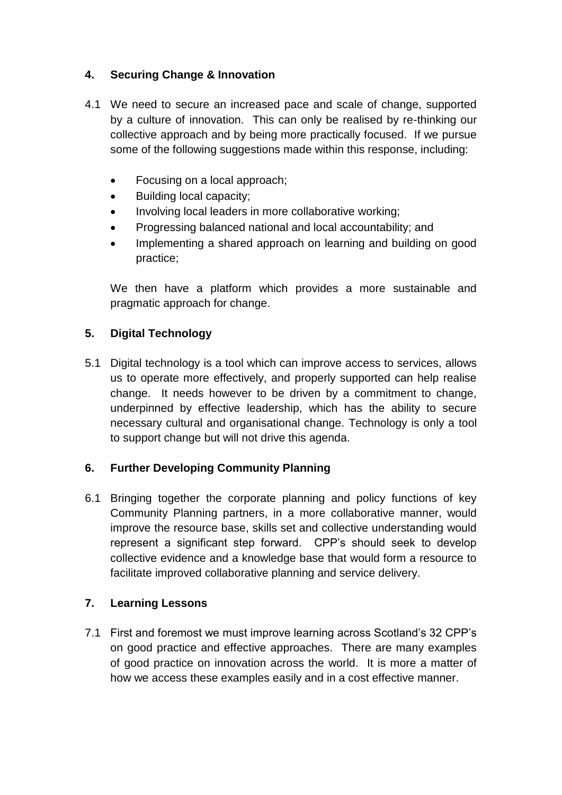# **4. Securing Change & Innovation**

- 4.1 We need to secure an increased pace and scale of change, supported by a culture of innovation. This can only be realised by re-thinking our collective approach and by being more practically focused. If we pursue some of the following suggestions made within this response, including:
	- Focusing on a local approach;
	- Building local capacity:
	- Involving local leaders in more collaborative working;
	- Progressing balanced national and local accountability; and
	- Implementing a shared approach on learning and building on good practice;

We then have a platform which provides a more sustainable and pragmatic approach for change.

## **5. Digital Technology**

5.1 Digital technology is a tool which can improve access to services, allows us to operate more effectively, and properly supported can help realise change. It needs however to be driven by a commitment to change, underpinned by effective leadership, which has the ability to secure necessary cultural and organisational change. Technology is only a tool to support change but will not drive this agenda.

## **6. Further Developing Community Planning**

6.1 Bringing together the corporate planning and policy functions of key Community Planning partners, in a more collaborative manner, would improve the resource base, skills set and collective understanding would represent a significant step forward. CPP's should seek to develop collective evidence and a knowledge base that would form a resource to facilitate improved collaborative planning and service delivery.

## **7. Learning Lessons**

7.1 First and foremost we must improve learning across Scotland's 32 CPP's on good practice and effective approaches. There are many examples of good practice on innovation across the world. It is more a matter of how we access these examples easily and in a cost effective manner.